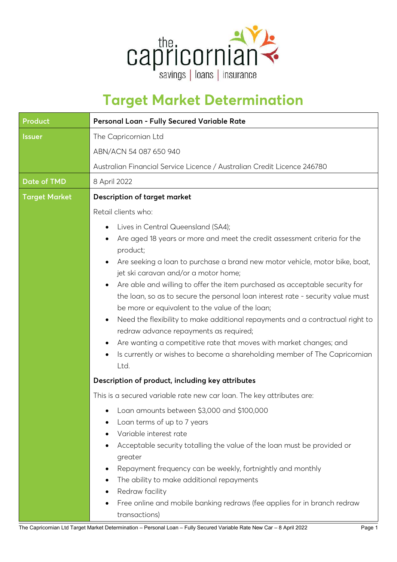

## **Target Market Determination**

| Product              | Personal Loan - Fully Secured Variable Rate                                                                                                                                                                                                                                                                                                                                                                                                                                                                                                                                                                                                                                                                                                                                                                                                                                                                     |  |  |  |  |
|----------------------|-----------------------------------------------------------------------------------------------------------------------------------------------------------------------------------------------------------------------------------------------------------------------------------------------------------------------------------------------------------------------------------------------------------------------------------------------------------------------------------------------------------------------------------------------------------------------------------------------------------------------------------------------------------------------------------------------------------------------------------------------------------------------------------------------------------------------------------------------------------------------------------------------------------------|--|--|--|--|
| <b>Issuer</b>        | The Capricornian Ltd<br>ABN/ACN 54 087 650 940<br>Australian Financial Service Licence / Australian Credit Licence 246780                                                                                                                                                                                                                                                                                                                                                                                                                                                                                                                                                                                                                                                                                                                                                                                       |  |  |  |  |
| <b>Date of TMD</b>   | 8 April 2022                                                                                                                                                                                                                                                                                                                                                                                                                                                                                                                                                                                                                                                                                                                                                                                                                                                                                                    |  |  |  |  |
| <b>Target Market</b> | <b>Description of target market</b>                                                                                                                                                                                                                                                                                                                                                                                                                                                                                                                                                                                                                                                                                                                                                                                                                                                                             |  |  |  |  |
|                      | Retail clients who:<br>Lives in Central Queensland (SA4);<br>٠<br>Are aged 18 years or more and meet the credit assessment criteria for the<br>product;<br>Are seeking a loan to purchase a brand new motor vehicle, motor bike, boat,<br>$\bullet$<br>jet ski caravan and/or a motor home;<br>Are able and willing to offer the item purchased as acceptable security for<br>$\bullet$<br>the loan, so as to secure the personal loan interest rate - security value must<br>be more or equivalent to the value of the loan;<br>Need the flexibility to make additional repayments and a contractual right to<br>$\bullet$<br>redraw advance repayments as required;<br>Are wanting a competitive rate that moves with market changes; and<br>$\bullet$<br>Is currently or wishes to become a shareholding member of The Capricornian<br>$\bullet$<br>Ltd.<br>Description of product, including key attributes |  |  |  |  |
|                      | This is a secured variable rate new car loan. The key attributes are:<br>• Loan amounts between \$3,000 and \$100,000<br>Loan terms of up to 7 years<br>Variable interest rate<br>Acceptable security totalling the value of the loan must be provided or<br>٠<br>greater<br>Repayment frequency can be weekly, fortnightly and monthly<br>٠<br>The ability to make additional repayments<br>٠<br>Redraw facility<br>Free online and mobile banking redraws (fee applies for in branch redraw<br>transactions)                                                                                                                                                                                                                                                                                                                                                                                                  |  |  |  |  |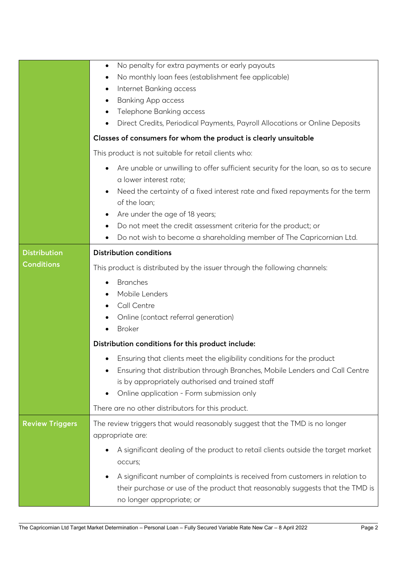|                        | No penalty for extra payments or early payouts<br>$\bullet$                                     |  |  |  |  |  |
|------------------------|-------------------------------------------------------------------------------------------------|--|--|--|--|--|
|                        | No monthly loan fees (establishment fee applicable)                                             |  |  |  |  |  |
|                        | Internet Banking access<br>٠                                                                    |  |  |  |  |  |
|                        | <b>Banking App access</b><br>٠                                                                  |  |  |  |  |  |
|                        | Telephone Banking access<br>٠                                                                   |  |  |  |  |  |
|                        | Direct Credits, Periodical Payments, Payroll Allocations or Online Deposits<br>٠                |  |  |  |  |  |
|                        | Classes of consumers for whom the product is clearly unsuitable                                 |  |  |  |  |  |
|                        | This product is not suitable for retail clients who:                                            |  |  |  |  |  |
|                        | Are unable or unwilling to offer sufficient security for the loan, so as to secure<br>$\bullet$ |  |  |  |  |  |
|                        | a lower interest rate;                                                                          |  |  |  |  |  |
|                        | Need the certainty of a fixed interest rate and fixed repayments for the term                   |  |  |  |  |  |
|                        | of the loan;                                                                                    |  |  |  |  |  |
|                        | Are under the age of 18 years;<br>٠                                                             |  |  |  |  |  |
|                        | Do not meet the credit assessment criteria for the product; or<br>٠                             |  |  |  |  |  |
|                        | Do not wish to become a shareholding member of The Capricornian Ltd.                            |  |  |  |  |  |
| <b>Distribution</b>    | <b>Distribution conditions</b>                                                                  |  |  |  |  |  |
| <b>Conditions</b>      | This product is distributed by the issuer through the following channels:                       |  |  |  |  |  |
|                        | <b>Branches</b>                                                                                 |  |  |  |  |  |
|                        | Mobile Lenders                                                                                  |  |  |  |  |  |
|                        | Call Centre                                                                                     |  |  |  |  |  |
|                        | Online (contact referral generation)                                                            |  |  |  |  |  |
|                        | <b>Broker</b>                                                                                   |  |  |  |  |  |
|                        | Distribution conditions for this product include:                                               |  |  |  |  |  |
|                        | Ensuring that clients meet the eligibility conditions for the product                           |  |  |  |  |  |
|                        | Ensuring that distribution through Branches, Mobile Lenders and Call Centre                     |  |  |  |  |  |
|                        | is by appropriately authorised and trained staff                                                |  |  |  |  |  |
|                        | Online application - Form submission only                                                       |  |  |  |  |  |
|                        | There are no other distributors for this product.                                               |  |  |  |  |  |
| <b>Review Triggers</b> | The review triggers that would reasonably suggest that the TMD is no longer                     |  |  |  |  |  |
|                        | appropriate are:                                                                                |  |  |  |  |  |
|                        | A significant dealing of the product to retail clients outside the target market                |  |  |  |  |  |
|                        | occurs;                                                                                         |  |  |  |  |  |
|                        | A significant number of complaints is received from customers in relation to<br>٠               |  |  |  |  |  |
|                        | their purchase or use of the product that reasonably suggests that the TMD is                   |  |  |  |  |  |
|                        | no longer appropriate; or                                                                       |  |  |  |  |  |